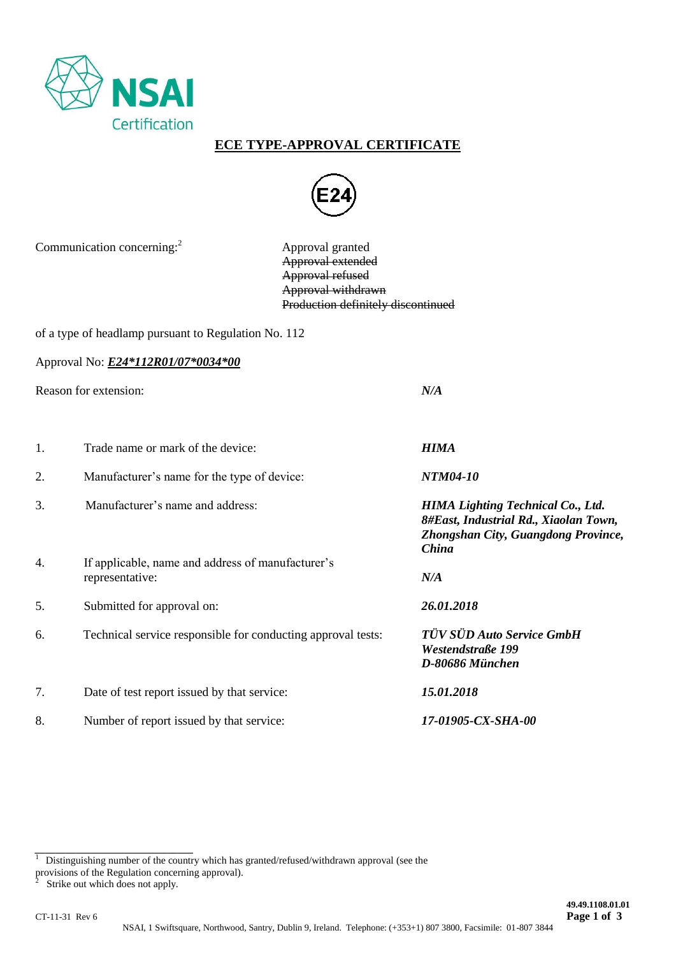

## **ECE TYPE-APPROVAL CERTIFICATE**



Communication concerning:<sup>2</sup>

 Approval granted Approval extended Approval refused Approval withdrawn Production definitely discontinued

of a type of headlamp pursuant to Regulation No. 112

Approval No: *E24\*112R01/07\*0034\*00*

Reason for extension: *N/A*

1. Trade name or mark of the device: *HIMA* 2. Manufacturer's name for the type of device: *NTM04-10* 3.Manufacturer's name and address: *HIMA Lighting Technical Co., Ltd. 8#East, Industrial Rd., Xiaolan Town, Zhongshan City, Guangdong Province, China* 4. If applicable, name and address of manufacturer's representative: *N/A* 5. Submitted for approval on: *26.01.2018* 6. Technical service responsible for conducting approval tests: *TÜV SÜD Auto Service GmbH Westendstraße 199 D-80686 München* 7. Date of test report issued by that service: *15.01.2018* 8. Number of report issued by that service: *17-01905-CX-SHA-00*

*\_\_\_\_\_\_\_\_\_\_\_\_\_\_\_\_\_\_\_\_\_\_\_\_\_\_\_\_\_\_\_*

 $\overline{1}$ Distinguishing number of the country which has granted/refused/withdrawn approval (see the

provisions of the Regulation concerning approval).

Strike out which does not apply.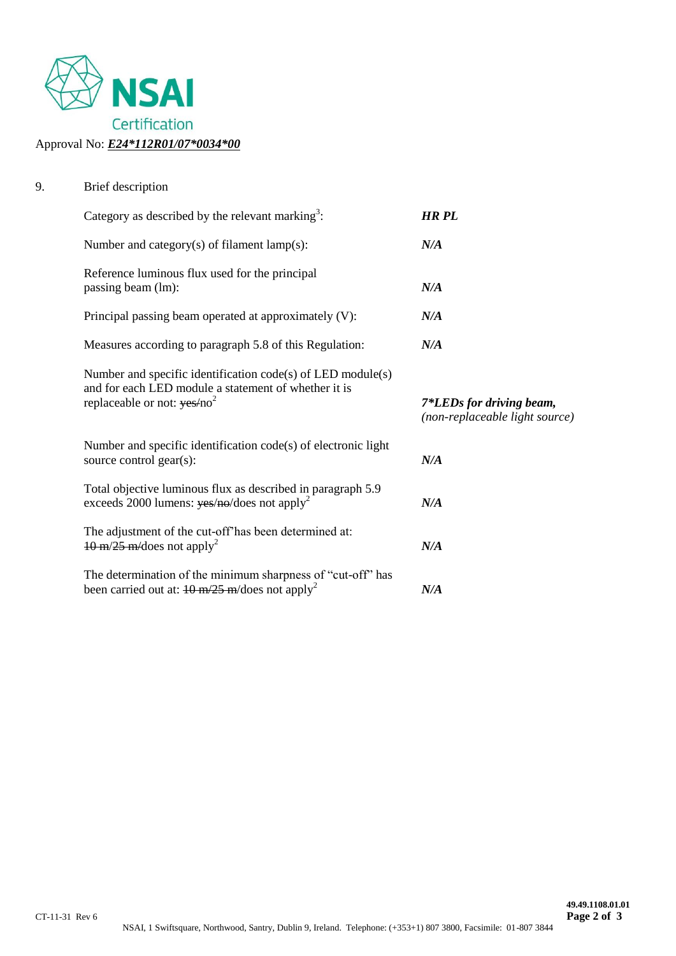

## 9. Brief description

| Category as described by the relevant marking <sup>3</sup> :                                                                                                                                                                                                                                                                                                                                                                                                                                                                   | <b>HR PL</b>                                               |
|--------------------------------------------------------------------------------------------------------------------------------------------------------------------------------------------------------------------------------------------------------------------------------------------------------------------------------------------------------------------------------------------------------------------------------------------------------------------------------------------------------------------------------|------------------------------------------------------------|
| Number and category(s) of filament $lamp(s)$ :                                                                                                                                                                                                                                                                                                                                                                                                                                                                                 | N/A                                                        |
| Reference luminous flux used for the principal<br>passing beam (lm):                                                                                                                                                                                                                                                                                                                                                                                                                                                           | N/A                                                        |
| Principal passing beam operated at approximately (V):                                                                                                                                                                                                                                                                                                                                                                                                                                                                          | N/A                                                        |
| Measures according to paragraph 5.8 of this Regulation:                                                                                                                                                                                                                                                                                                                                                                                                                                                                        | N/A                                                        |
| Number and specific identification $code(s)$ of LED module(s)<br>and for each LED module a statement of whether it is<br>replaceable or not: $\gamma$ es/no <sup>2</sup>                                                                                                                                                                                                                                                                                                                                                       | 7*LEDs for driving beam,<br>(non-replaceable light source) |
| Number and specific identification code(s) of electronic light<br>source control gear(s):                                                                                                                                                                                                                                                                                                                                                                                                                                      | N/A                                                        |
| Total objective luminous flux as described in paragraph 5.9<br>exceeds 2000 lumens: $yes/ne/does$ not apply <sup>2</sup>                                                                                                                                                                                                                                                                                                                                                                                                       | N/A                                                        |
| The adjustment of the cut-off'has been determined at:<br>$10 \text{ m}/25 \text{ m}/\text{does}$ not apply <sup>2</sup>                                                                                                                                                                                                                                                                                                                                                                                                        | N/A                                                        |
| The determination of the minimum sharpness of "cut-off" has<br>been carried out at: $\frac{10 \text{ m}/25 \text{ m}}{\text{d} \cdot \text{cos} \cdot \text{d} \cdot \text{d} \cdot \text{d} \cdot \text{d} \cdot \text{d} \cdot \text{d} \cdot \text{d} \cdot \text{d} \cdot \text{d} \cdot \text{d} \cdot \text{d} \cdot \text{d} \cdot \text{d} \cdot \text{d} \cdot \text{d} \cdot \text{d} \cdot \text{d} \cdot \text{d} \cdot \text{d} \cdot \text{d} \cdot \text{d} \cdot \text{d} \cdot \text{d} \cdot \text{d} \cdot$ | N/A                                                        |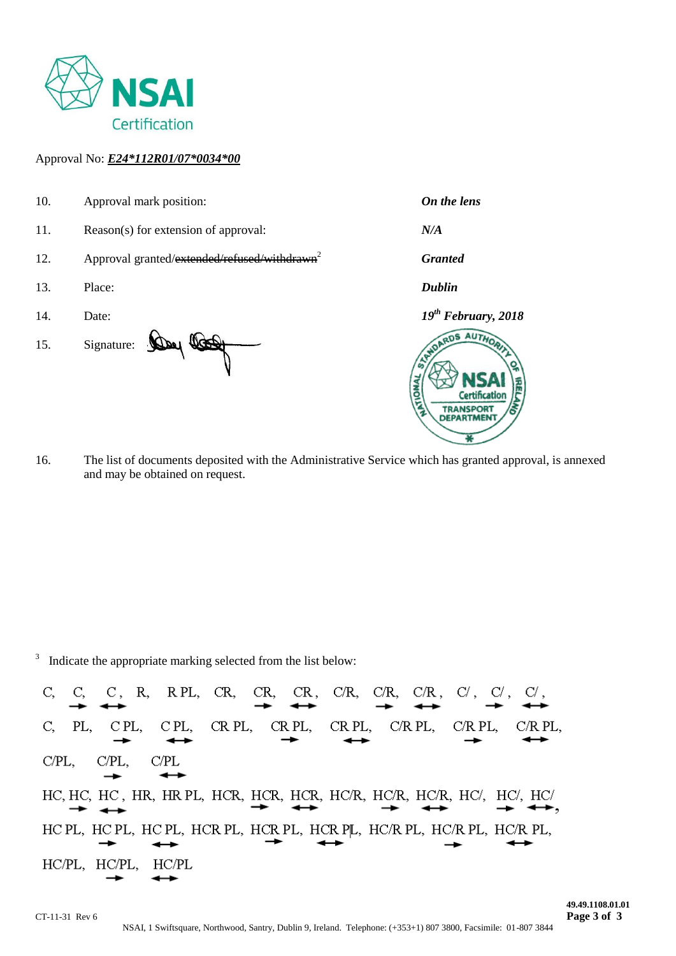

#### Approval No: *E24\*112R01/07\*0034\*00*

- 10. Approval mark position: *On the lens* 11. Reason(s) for extension of approval: *N/A* 12. Approval granted/extended/refused/withdrawn<sup>2</sup> *Granted* 13. Place: *Dublin* 14. Date: *19th February, 2018* RDS AUTHO 15. Signature: Day Cool Cortification **TRANSPORT DEPARTMEN**
- 16. The list of documents deposited with the Administrative Service which has granted approval, is annexed and may be obtained on request.

<sup>3</sup> Indicate the appropriate marking selected from the list below:

 $C/PL$ ,  $C/PL$ C/PL, HC, HC, HC, HR, HR, PL, HCR, HCR, HCR, HC/R, HC/R, HC/R, HC/, HC/ HC PL, HC PL, HC PL, HCR PL, HCR PL, HCR PL, HC/R PL, HC/R PL, HC/R PL, HC/PL, HC/PL, HC/PL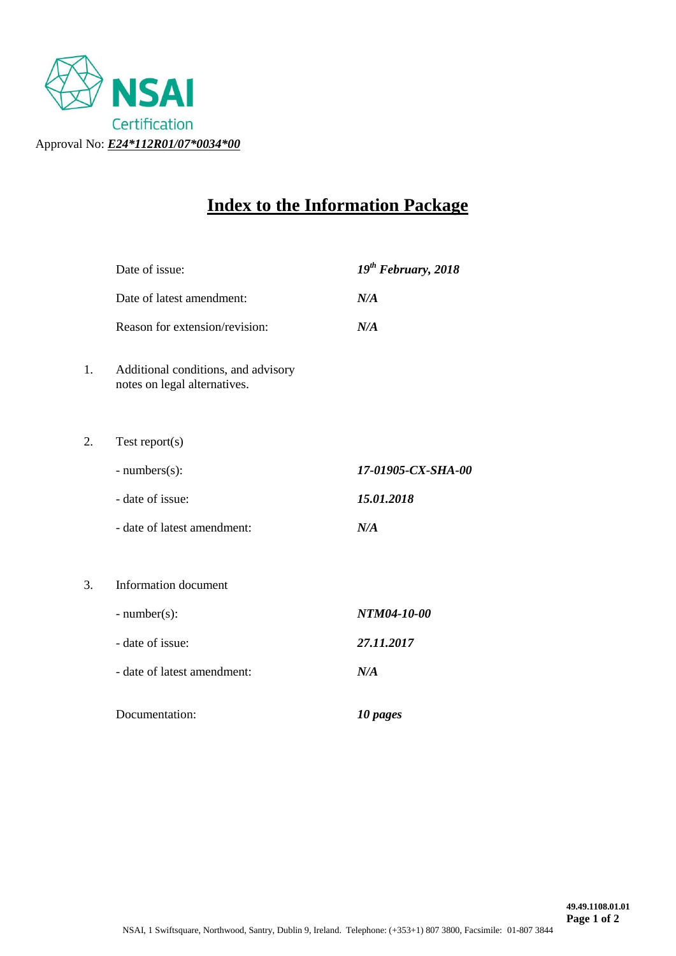

# **Index to the Information Package**

|    | Date of issue:                                                      | $19^{th}$ February, 2018 |
|----|---------------------------------------------------------------------|--------------------------|
|    | Date of latest amendment:                                           | N/A                      |
|    | Reason for extension/revision:                                      | N/A                      |
| 1. | Additional conditions, and advisory<br>notes on legal alternatives. |                          |
| 2. | Test report $(s)$                                                   |                          |
|    | $- numbers(s)$ :                                                    | 17-01905-CX-SHA-00       |
|    | - date of issue:                                                    | 15.01.2018               |
|    | - date of latest amendment:                                         | N/A                      |
| 3. | <b>Information</b> document                                         |                          |
|    | $-$ number(s):                                                      | NTM04-10-00              |
|    | - date of issue:                                                    | 27.11.2017               |
|    | - date of latest amendment:                                         | N/A                      |
|    | Documentation:                                                      | 10 pages                 |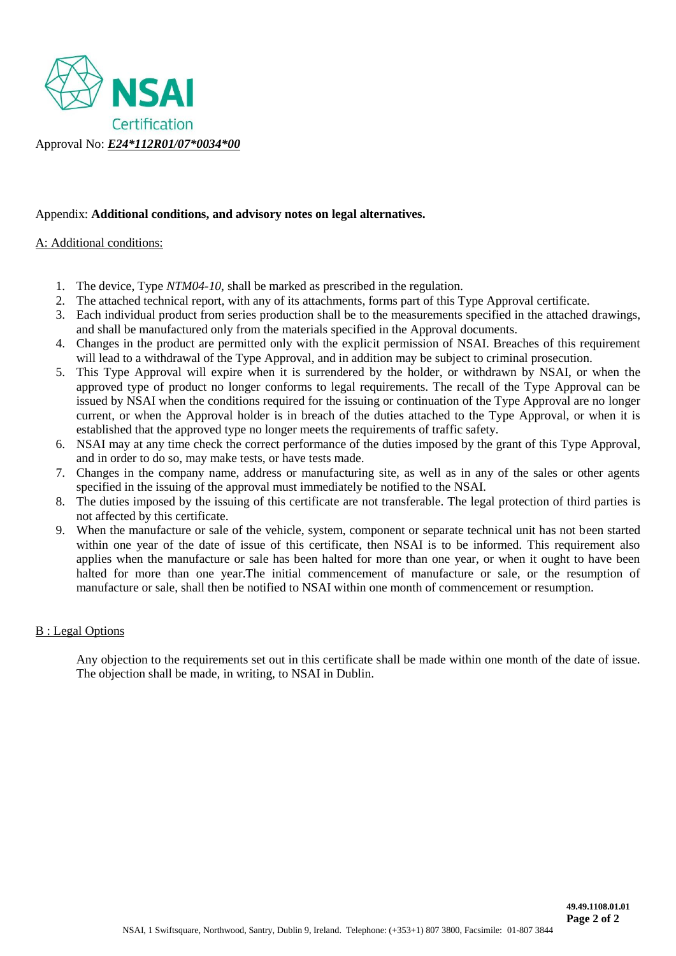

#### Appendix: **Additional conditions, and advisory notes on legal alternatives.**

#### A: Additional conditions:

- 1. The device, Type *NTM04-10*, shall be marked as prescribed in the regulation.
- 2. The attached technical report, with any of its attachments, forms part of this Type Approval certificate.
- 3. Each individual product from series production shall be to the measurements specified in the attached drawings, and shall be manufactured only from the materials specified in the Approval documents.
- 4. Changes in the product are permitted only with the explicit permission of NSAI. Breaches of this requirement will lead to a withdrawal of the Type Approval, and in addition may be subject to criminal prosecution.
- 5. This Type Approval will expire when it is surrendered by the holder, or withdrawn by NSAI, or when the approved type of product no longer conforms to legal requirements. The recall of the Type Approval can be issued by NSAI when the conditions required for the issuing or continuation of the Type Approval are no longer current, or when the Approval holder is in breach of the duties attached to the Type Approval, or when it is established that the approved type no longer meets the requirements of traffic safety.
- 6. NSAI may at any time check the correct performance of the duties imposed by the grant of this Type Approval, and in order to do so, may make tests, or have tests made.
- 7. Changes in the company name, address or manufacturing site, as well as in any of the sales or other agents specified in the issuing of the approval must immediately be notified to the NSAI.
- 8. The duties imposed by the issuing of this certificate are not transferable. The legal protection of third parties is not affected by this certificate.
- 9. When the manufacture or sale of the vehicle, system, component or separate technical unit has not been started within one year of the date of issue of this certificate, then NSAI is to be informed. This requirement also applies when the manufacture or sale has been halted for more than one year, or when it ought to have been halted for more than one year.The initial commencement of manufacture or sale, or the resumption of manufacture or sale, shall then be notified to NSAI within one month of commencement or resumption.

#### B : Legal Options

Any objection to the requirements set out in this certificate shall be made within one month of the date of issue. The objection shall be made, in writing, to NSAI in Dublin.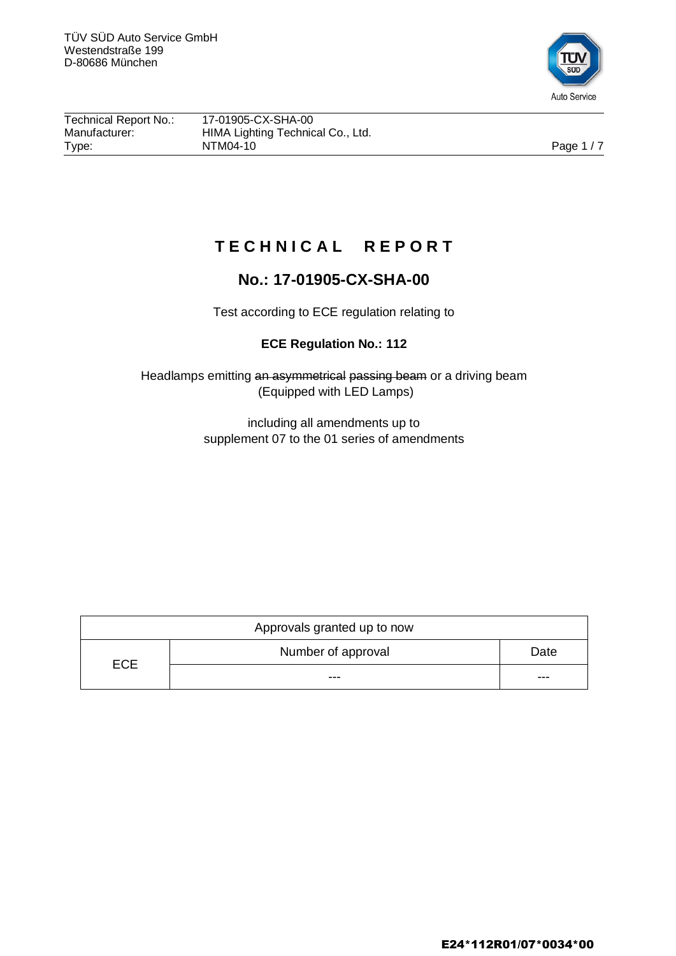

| Technical Report No.: | 17-01905-CX-SHA-00                |            |
|-----------------------|-----------------------------------|------------|
| Manufacturer:         | HIMA Lighting Technical Co., Ltd. |            |
| Type:                 | NTM04-10                          | Page $1/7$ |

## **T E C H N I C A L R E P O R T**

## **No.: 17-01905-CX-SHA-00**

Test according to ECE regulation relating to

## **ECE Regulation No.: 112**

Headlamps emitting an asymmetrical passing beam or a driving beam (Equipped with LED Lamps)

> including all amendments up to supplement 07 to the 01 series of amendments

| Approvals granted up to now |                    |      |  |
|-----------------------------|--------------------|------|--|
|                             | Number of approval | Date |  |
| <b>ECE</b>                  | ---                | ---  |  |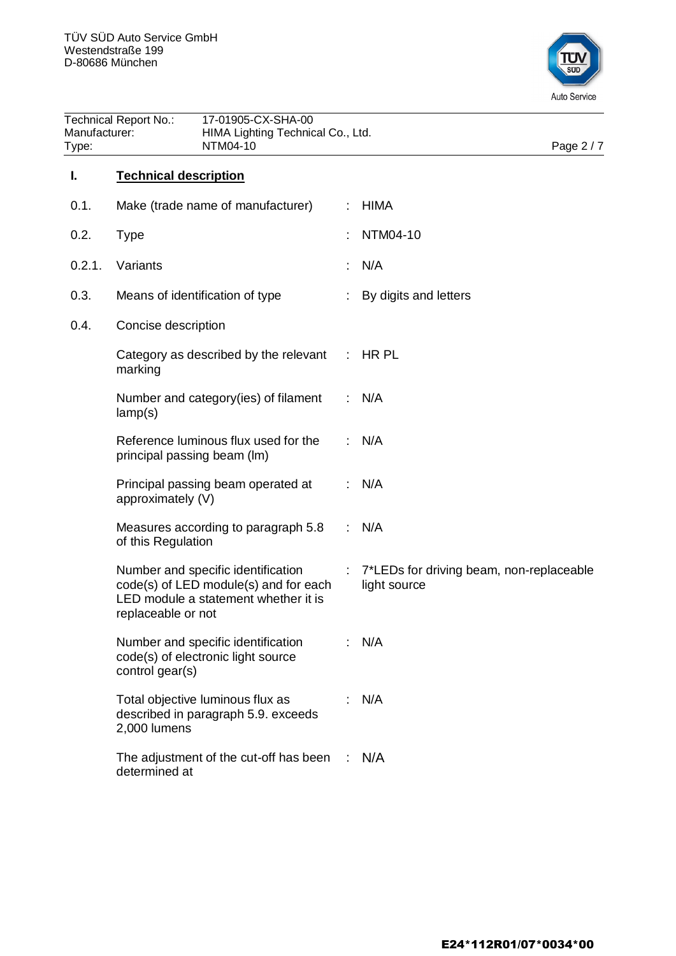

| <b>Technical Report No.:</b><br>Manufacturer:<br>NTM04-10<br>Type: |                              | 17-01905-CX-SHA-00<br>HIMA Lighting Technical Co., Ltd.                                                             |    | Page 2 / 7                                               |
|--------------------------------------------------------------------|------------------------------|---------------------------------------------------------------------------------------------------------------------|----|----------------------------------------------------------|
| I.                                                                 | <b>Technical description</b> |                                                                                                                     |    |                                                          |
| 0.1.                                                               |                              | Make (trade name of manufacturer)                                                                                   |    | <b>HIMA</b>                                              |
| 0.2.                                                               | <b>Type</b>                  |                                                                                                                     |    | NTM04-10                                                 |
| 0.2.1.                                                             | Variants                     |                                                                                                                     |    | N/A                                                      |
| 0.3.                                                               |                              | Means of identification of type                                                                                     |    | By digits and letters                                    |
| 0.4.                                                               | Concise description          |                                                                                                                     |    |                                                          |
|                                                                    | marking                      | Category as described by the relevant                                                                               | ÷. | HR PL                                                    |
|                                                                    | lamp(s)                      | Number and category (ies) of filament                                                                               |    | N/A                                                      |
|                                                                    |                              | Reference luminous flux used for the<br>principal passing beam (lm)                                                 |    | N/A                                                      |
|                                                                    | approximately (V)            | Principal passing beam operated at                                                                                  |    | N/A                                                      |
|                                                                    | of this Regulation           | Measures according to paragraph 5.8                                                                                 |    | N/A                                                      |
|                                                                    | replaceable or not           | Number and specific identification<br>code(s) of LED module(s) and for each<br>LED module a statement whether it is | ÷. | 7*LEDs for driving beam, non-replaceable<br>light source |
|                                                                    | control gear(s)              | Number and specific identification<br>code(s) of electronic light source                                            |    | N/A                                                      |
|                                                                    | 2,000 lumens                 | Total objective luminous flux as<br>described in paragraph 5.9. exceeds                                             |    | N/A                                                      |
|                                                                    | determined at                | The adjustment of the cut-off has been                                                                              | ÷  | N/A                                                      |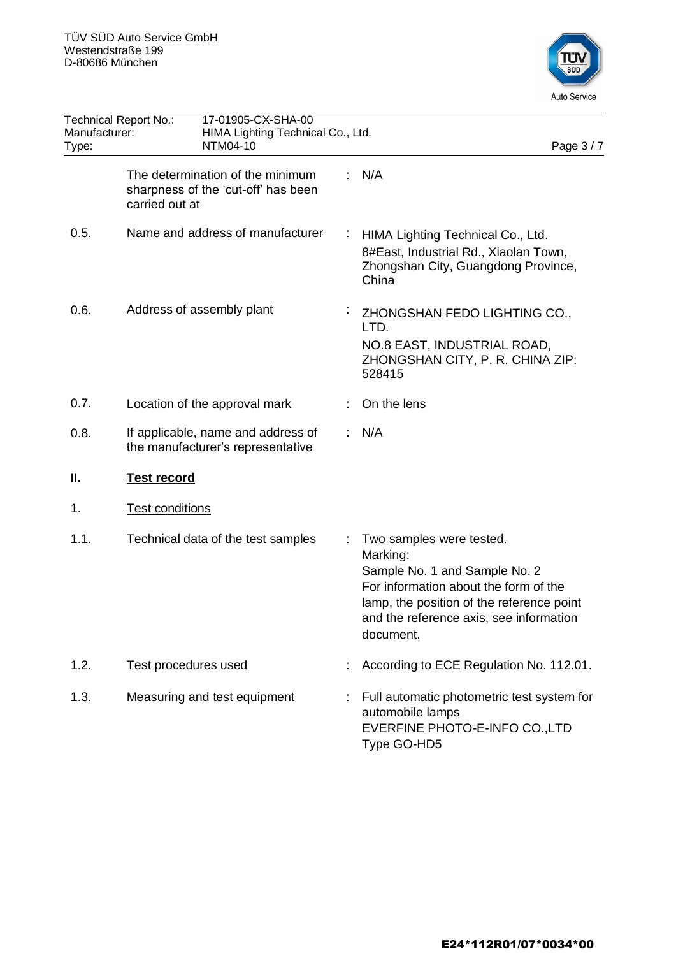

| Manufacturer:<br>Type: | 17-01905-CX-SHA-00<br>Technical Report No.:<br>HIMA Lighting Technical Co., Ltd.<br>NTM04-10 |   | Page 3/7                                                                                                                                                                                                            |
|------------------------|----------------------------------------------------------------------------------------------|---|---------------------------------------------------------------------------------------------------------------------------------------------------------------------------------------------------------------------|
|                        | The determination of the minimum<br>sharpness of the 'cut-off' has been<br>carried out at    |   | N/A                                                                                                                                                                                                                 |
| 0.5.                   | Name and address of manufacturer                                                             |   | HIMA Lighting Technical Co., Ltd.<br>8#East, Industrial Rd., Xiaolan Town,<br>Zhongshan City, Guangdong Province,<br>China                                                                                          |
| 0.6.                   | Address of assembly plant                                                                    | ÷ | ZHONGSHAN FEDO LIGHTING CO.,<br>LTD.<br>NO.8 EAST, INDUSTRIAL ROAD,<br>ZHONGSHAN CITY, P. R. CHINA ZIP:<br>528415                                                                                                   |
| 0.7.                   | Location of the approval mark                                                                |   | On the lens                                                                                                                                                                                                         |
| 0.8.                   | If applicable, name and address of<br>the manufacturer's representative                      |   | N/A                                                                                                                                                                                                                 |
| Ш.                     | <b>Test record</b>                                                                           |   |                                                                                                                                                                                                                     |
| 1.                     | <b>Test conditions</b>                                                                       |   |                                                                                                                                                                                                                     |
| 1.1.                   | Technical data of the test samples                                                           |   | Two samples were tested.<br>Marking:<br>Sample No. 1 and Sample No. 2<br>For information about the form of the<br>lamp, the position of the reference point<br>and the reference axis, see information<br>document. |
| 1.2.                   | Test procedures used                                                                         |   | According to ECE Regulation No. 112.01.                                                                                                                                                                             |
| 1.3.                   | Measuring and test equipment                                                                 |   | Full automatic photometric test system for<br>automobile lamps<br>EVERFINE PHOTO-E-INFO CO., LTD<br>Type GO-HD5                                                                                                     |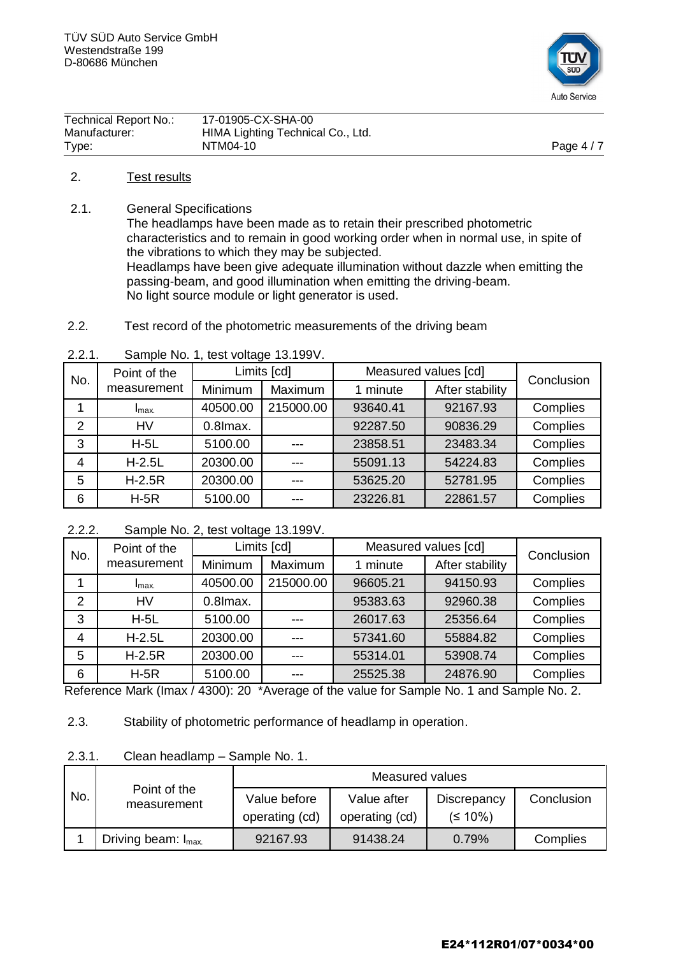

| Technical Report No.: | 17-01905-CX-SHA-00                |            |
|-----------------------|-----------------------------------|------------|
| Manufacturer:         | HIMA Lighting Technical Co., Ltd. |            |
| Type:                 | NTM04-10                          | Page $4/7$ |

#### 2. Test results

2.1. General Specifications

The headlamps have been made as to retain their prescribed photometric characteristics and to remain in good working order when in normal use, in spite of the vibrations to which they may be subjected. Headlamps have been give adequate illumination without dazzle when emitting the passing-beam, and good illumination when emitting the driving-beam. No light source module or light generator is used.

2.2. Test record of the photometric measurements of the driving beam

| 2.2.1. | Sample No. 1, test voltage 13.199V. |  |
|--------|-------------------------------------|--|
|        | المما منتمنزا                       |  |

| Point of the<br>No. |                  | Limits [cd] |           | Measured values [cd] |                 | Conclusion |
|---------------------|------------------|-------------|-----------|----------------------|-----------------|------------|
|                     | measurement      | Minimum     | Maximum   | 1 minute             | After stability |            |
|                     | I <sub>max</sub> | 40500.00    | 215000.00 | 93640.41             | 92167.93        | Complies   |
| $\overline{2}$      | <b>HV</b>        | 0.8 lmax.   |           | 92287.50             | 90836.29        | Complies   |
| 3                   | $H-5L$           | 5100.00     |           | 23858.51             | 23483.34        | Complies   |
| $\overline{4}$      | $H-2.5L$         | 20300.00    | ---       | 55091.13             | 54224.83        | Complies   |
| 5                   | $H-2.5R$         | 20300.00    | ---       | 53625.20             | 52781.95        | Complies   |
| 6                   | $H-5R$           | 5100.00     | ---       | 23226.81             | 22861.57        | Complies   |

#### 2.2.2. Sample No. 2, test voltage 13.199V.

| Point of the<br>No. |                  | Limits [cd] |           | Measured values [cd] |                 | Conclusion |
|---------------------|------------------|-------------|-----------|----------------------|-----------------|------------|
|                     | measurement      | Minimum     | Maximum   | 1 minute             | After stability |            |
|                     | I <sub>max</sub> | 40500.00    | 215000.00 | 96605.21             | 94150.93        | Complies   |
| $\overline{2}$      | <b>HV</b>        | $0.8$ Imax. |           | 95383.63             | 92960.38        | Complies   |
| 3                   | $H-5L$           | 5100.00     |           | 26017.63             | 25356.64        | Complies   |
| 4                   | $H-2.5L$         | 20300.00    | ---       | 57341.60             | 55884.82        | Complies   |
| 5                   | $H-2.5R$         | 20300.00    | ---       | 55314.01             | 53908.74        | Complies   |
| 6                   | $H-5R$           | 5100.00     |           | 25525.38             | 24876.90        | Complies   |

Reference Mark (Imax / 4300): 20 \*Average of the value for Sample No. 1 and Sample No. 2.

2.3. Stability of photometric performance of headlamp in operation.

#### 2.3.1. Clean headlamp – Sample No. 1.

|     |                                 | Measured values |                |                    |            |
|-----|---------------------------------|-----------------|----------------|--------------------|------------|
| No. | Point of the<br>measurement     | Value before    | Value after    | <b>Discrepancy</b> | Conclusion |
|     |                                 | operating (cd)  | operating (cd) | $(5.10\%)$         |            |
|     | Driving beam: I <sub>max.</sub> | 92167.93        | 91438.24       | 0.79%              | Complies   |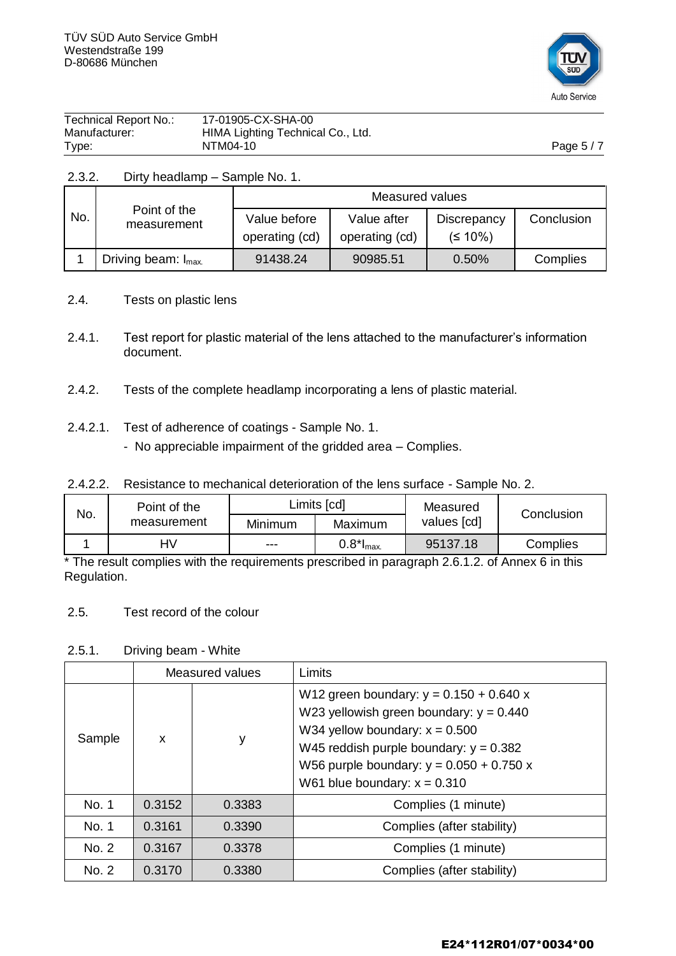

| Technical Report No.: | 17-01905-CX-SHA-00                |            |
|-----------------------|-----------------------------------|------------|
| Manufacturer:         | HIMA Lighting Technical Co., Ltd. |            |
| Type:                 | NTM04-10                          | Page $5/7$ |

#### 2.3.2. Dirty headlamp – Sample No. 1.

|     |                                | Measured values                |                               |                          |            |
|-----|--------------------------------|--------------------------------|-------------------------------|--------------------------|------------|
| No. | Point of the<br>measurement    | Value before<br>operating (cd) | Value after<br>operating (cd) | Discrepancy<br>$(510\%)$ | Conclusion |
|     | Driving beam: $I_{\text{max}}$ | 91438.24                       | 90985.51                      | 0.50%                    | Complies   |

- 2.4. Tests on plastic lens
- 2.4.1. Test report for plastic material of the lens attached to the manufacturer's information document.
- 2.4.2. Tests of the complete headlamp incorporating a lens of plastic material.
- 2.4.2.1. Test of adherence of coatings Sample No. 1.
	- No appreciable impairment of the gridded area Complies.

|  | 2.4.2.2. Resistance to mechanical deterioration of the lens surface - Sample No. 2. |  |  |  |
|--|-------------------------------------------------------------------------------------|--|--|--|
|--|-------------------------------------------------------------------------------------|--|--|--|

| No. | Point of the |         | Limits [cd]              | Measured    | Conclusion |
|-----|--------------|---------|--------------------------|-------------|------------|
|     | measurement  | Minimum | Maximum                  | values [cd] |            |
|     | HV           | ---     | $0.8$ * $I_{\text{max}}$ | 95137.18    | Complies   |

\* The result complies with the requirements prescribed in paragraph 2.6.1.2. of Annex 6 in this Regulation.

#### 2.5. Test record of the colour

#### 2.5.1. Driving beam - White

|        | Measured values |        | Limits                                                                                                                                                                                                                                                 |
|--------|-----------------|--------|--------------------------------------------------------------------------------------------------------------------------------------------------------------------------------------------------------------------------------------------------------|
| Sample | $\mathsf{x}$    | у      | W12 green boundary: $y = 0.150 + 0.640 x$<br>W23 yellowish green boundary: $y = 0.440$<br>W34 yellow boundary: $x = 0.500$<br>W45 reddish purple boundary: $y = 0.382$<br>W56 purple boundary: $y = 0.050 + 0.750 x$<br>W61 blue boundary: $x = 0.310$ |
| No. 1  | 0.3152          | 0.3383 | Complies (1 minute)                                                                                                                                                                                                                                    |
| No. 1  | 0.3161          | 0.3390 | Complies (after stability)                                                                                                                                                                                                                             |
| No. 2  | 0.3167          | 0.3378 | Complies (1 minute)                                                                                                                                                                                                                                    |
| No. 2  | 0.3170          | 0.3380 | Complies (after stability)                                                                                                                                                                                                                             |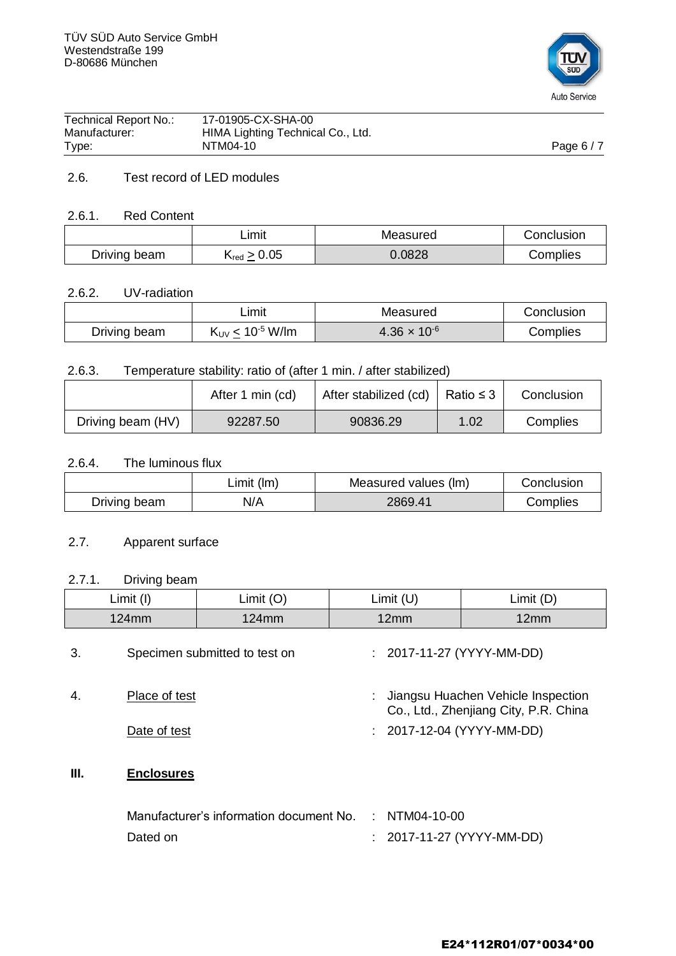

| Manufacturer:<br>Type: | HIMA Lighting Technical Co., Ltd.<br>NTM04-10 | Page $6/7$ |
|------------------------|-----------------------------------------------|------------|
| Technical Report No.:  | 17-01905-CX-SHA-00                            |            |

## 2.6. Test record of LED modules

#### 2.6.1. Red Content

|              | _imit                      | Measured | Conclusion |
|--------------|----------------------------|----------|------------|
| Driving beam | $K_{\text{red}} \geq 0.05$ | 0.0828   | Complies   |

#### 2.6.2. UV-radiation

|              | ∟imit                            | Measured              | Conclusion |
|--------------|----------------------------------|-----------------------|------------|
| Driving beam | $K_{UV}$ < 10 <sup>-5</sup> W/lm | $4.36 \times 10^{-6}$ | Complies   |

## 2.6.3. Temperature stability: ratio of (after 1 min. / after stabilized)

|                               | After 1 min (cd) | After stabilized (cd)   Ratio $\leq$ 3 |      | Conclusion |
|-------------------------------|------------------|----------------------------------------|------|------------|
| Driving beam (HV)<br>92287.50 |                  | 90836.29                               | 1.02 | Complies   |

#### 2.6.4. The luminous flux

|              | Limit (Im) | Measured values (lm) | Conclusion |
|--------------|------------|----------------------|------------|
| Driving beam | N/A        | 2869.41              | Complies   |

#### 2.7. Apparent surface

## 2.7.1. Driving beam

|      | <b>PHYMIN NOMIN</b>           |                                         |   |                                 |                                                                             |  |
|------|-------------------------------|-----------------------------------------|---|---------------------------------|-----------------------------------------------------------------------------|--|
|      | Limit (I)                     | Limit $(O)$                             |   | Limit $(U)$                     | Limit (D)                                                                   |  |
|      | $124$ mm                      | $124$ mm                                |   | 12mm                            | 12mm                                                                        |  |
| 3.   | Specimen submitted to test on |                                         |   | $: 2017 - 11 - 27 (YYYY-MM-DD)$ |                                                                             |  |
| 4.   | Place of test                 |                                         | ÷ |                                 | Jiangsu Huachen Vehicle Inspection<br>Co., Ltd., Zhenjiang City, P.R. China |  |
|      | Date of test                  |                                         |   |                                 | : 2017-12-04 (YYYY-MM-DD)                                                   |  |
| III. | <b>Enclosures</b>             |                                         |   |                                 |                                                                             |  |
|      |                               | Manufacturer's information document No. |   | : NTM04-10-00                   |                                                                             |  |
|      | Dated on                      |                                         |   |                                 | 2017-11-27 (YYYY-MM-DD)                                                     |  |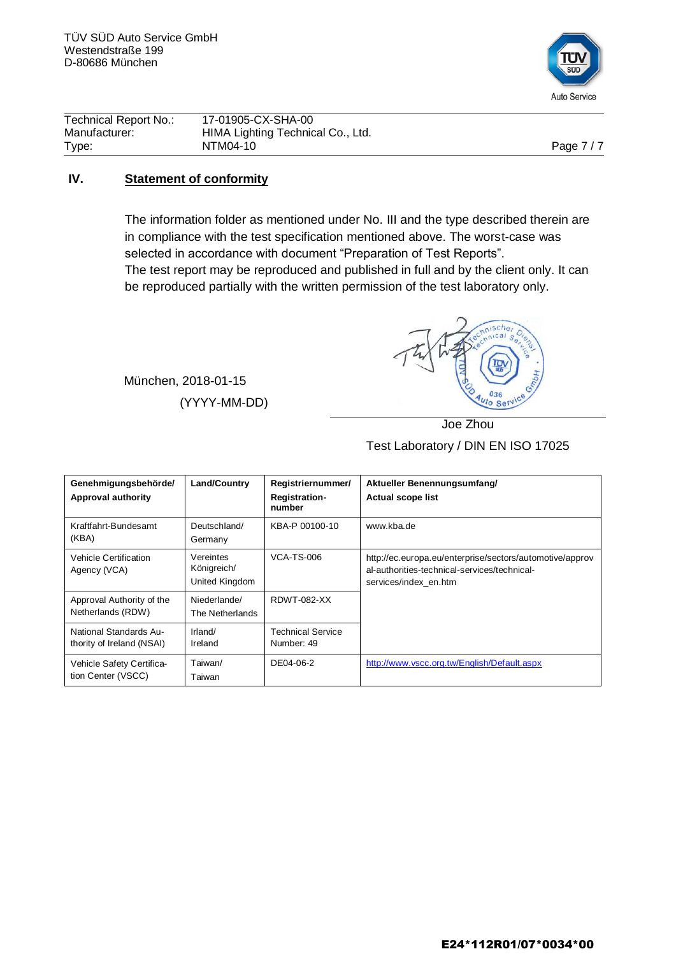

| Technical Report No.: | 17-01905-CX-SHA-00                |            |
|-----------------------|-----------------------------------|------------|
| Manufacturer:         | HIMA Lighting Technical Co., Ltd. |            |
| Type:                 | NTM04-10                          | Page $7/7$ |

#### **IV. Statement of conformity**

The information folder as mentioned under No. III and the type described therein are in compliance with the test specification mentioned above. The worst-case was selected in accordance with document "Preparation of Test Reports". The test report may be reproduced and published in full and by the client only. It can

be reproduced partially with the written permission of the test laboratory only.

München, 2018-01-15 (YYYY-MM-DD)



Joe Zhou Test Laboratory / DIN EN ISO 17025

| Genehmigungsbehörde/<br>Approval authority          | Land/Country                               | Registriernummer/<br><b>Registration-</b><br>number | Aktueller Benennungsumfang/<br><b>Actual scope list</b>                                                                           |
|-----------------------------------------------------|--------------------------------------------|-----------------------------------------------------|-----------------------------------------------------------------------------------------------------------------------------------|
| Kraftfahrt-Bundesamt<br>(KBA)                       | Deutschland/<br>Germany                    | KBA-P 00100-10                                      | www.kba.de                                                                                                                        |
| <b>Vehicle Certification</b><br>Agency (VCA)        | Vereintes<br>Königreich/<br>United Kingdom | <b>VCA-TS-006</b>                                   | http://ec.europa.eu/enterprise/sectors/automotive/approv<br>al-authorities-technical-services/technical-<br>services/index en.htm |
| Approval Authority of the<br>Netherlands (RDW)      | Niederlande/<br>The Netherlands            | <b>RDWT-082-XX</b>                                  |                                                                                                                                   |
| National Standards Au-<br>thority of Ireland (NSAI) | Irland/<br>Ireland                         | <b>Technical Service</b><br>Number: 49              |                                                                                                                                   |
| Vehicle Safety Certifica-<br>tion Center (VSCC)     | Taiwan/<br>Taiwan                          | DE04-06-2                                           | http://www.vscc.org.tw/English/Default.aspx                                                                                       |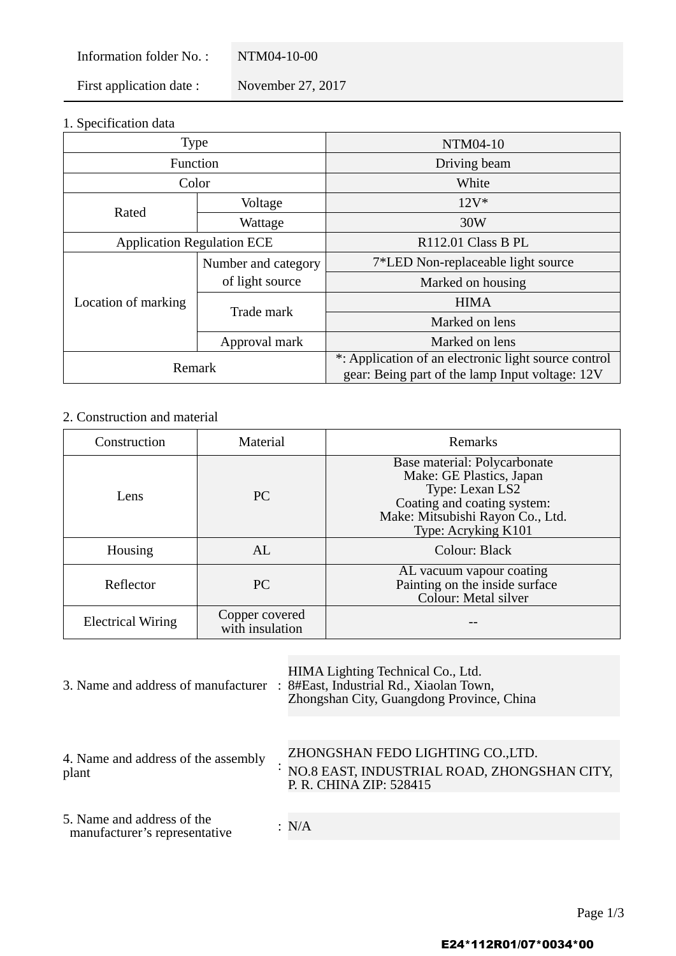Information folder No.: NTM04-10-00

First application date : November 27, 2017

1. Specification data

| <b>Type</b>                       |                     | NTM04-10                                             |
|-----------------------------------|---------------------|------------------------------------------------------|
| Function                          |                     | Driving beam                                         |
| Color                             |                     | White                                                |
| Rated                             | Voltage             | $12V^*$                                              |
|                                   | Wattage             | 30W                                                  |
| <b>Application Regulation ECE</b> |                     | R112.01 Class B PL                                   |
| Location of marking               | Number and category | 7*LED Non-replaceable light source                   |
|                                   | of light source     | Marked on housing                                    |
|                                   | Trade mark          | <b>HIMA</b>                                          |
|                                   |                     | Marked on lens                                       |
|                                   | Approval mark       | Marked on lens                                       |
| Remark                            |                     | *: Application of an electronic light source control |
|                                   |                     | gear: Being part of the lamp Input voltage: 12V      |

## 2. Construction and material

| Construction             | Material                          | Remarks                                                                                                                                                               |
|--------------------------|-----------------------------------|-----------------------------------------------------------------------------------------------------------------------------------------------------------------------|
| Lens                     | PC                                | Base material: Polycarbonate<br>Make: GE Plastics, Japan<br>Type: Lexan LS2<br>Coating and coating system:<br>Make: Mitsubishi Rayon Co., Ltd.<br>Type: Acryking K101 |
| Housing                  | AL                                | Colour: Black                                                                                                                                                         |
| Reflector                | PC.                               | AL vacuum vapour coating<br>Painting on the inside surface<br>Colour: Metal silver                                                                                    |
| <b>Electrical Wiring</b> | Copper covered<br>with insulation |                                                                                                                                                                       |

| HIMA Lighting Technical Co., Ltd.<br>8#East, Industrial Rd., Xiaolan Town,<br>Zhongshan City, Guangdong Province, China |
|-------------------------------------------------------------------------------------------------------------------------|
|                                                                                                                         |
| ZHONGSHAN FEDO LIGHTING CO.,LTD.<br>NO.8 EAST, INDUSTRIAL ROAD, ZHONGSHAN CITY,<br>P. R. CHINA ZIP: 528415              |
|                                                                                                                         |
| : $N/A$                                                                                                                 |
| 3. Name and address of manufacturer :                                                                                   |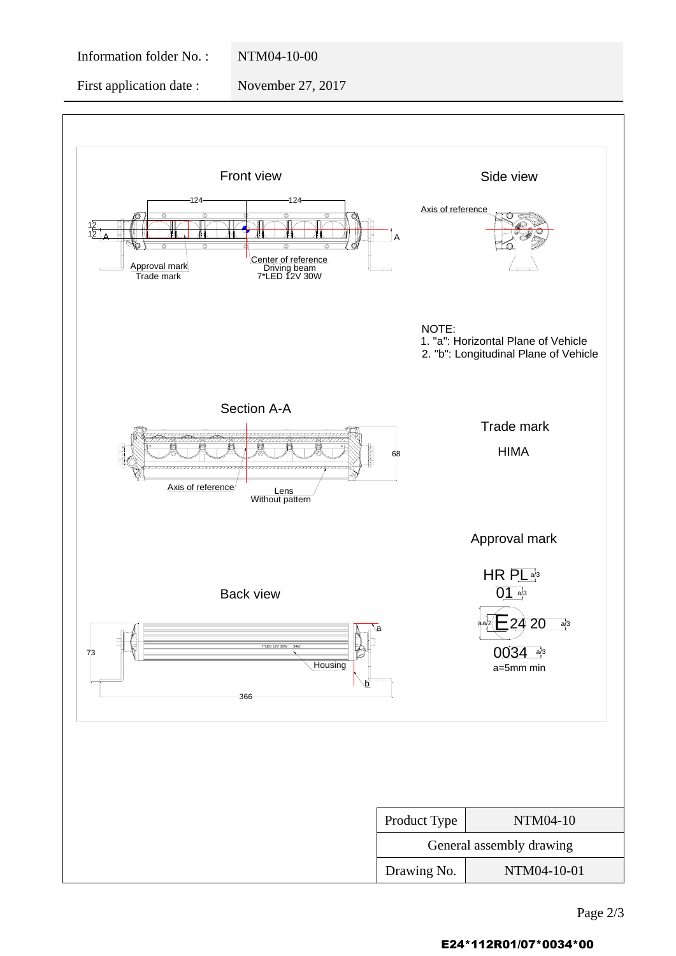#### Information folder No. : NTM04-10-00

First application date : November 27, 2017



#### E24\*112R01/07\*0034\*00